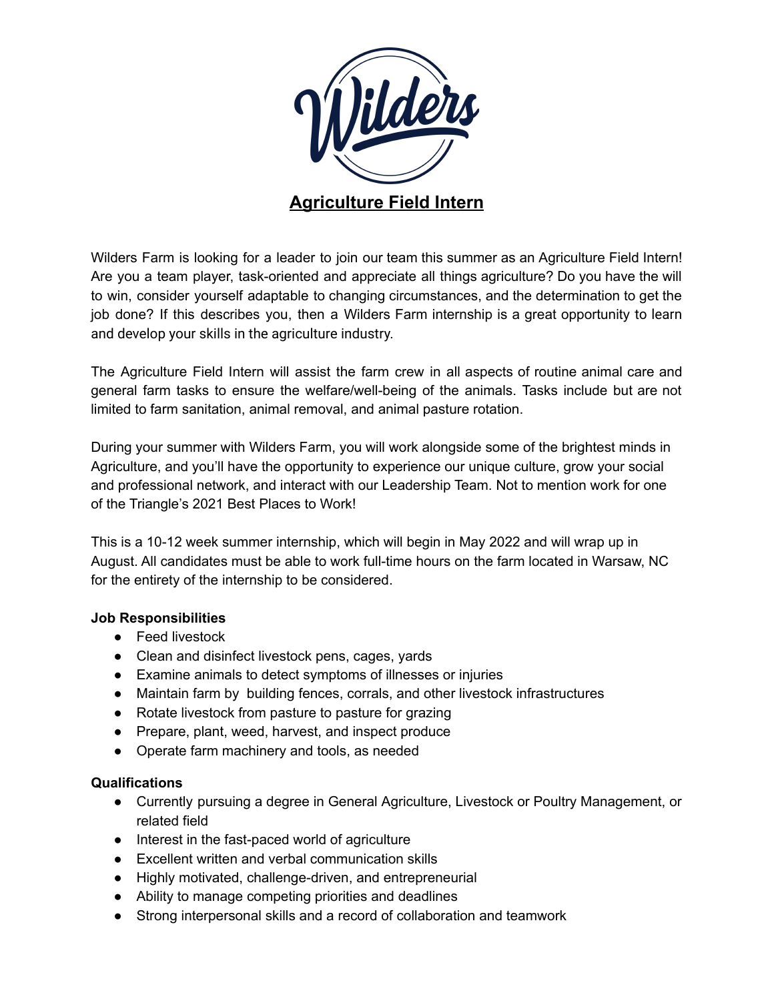

Wilders Farm is looking for a leader to join our team this summer as an Agriculture Field Intern! Are you a team player, task-oriented and appreciate all things agriculture? Do you have the will to win, consider yourself adaptable to changing circumstances, and the determination to get the job done? If this describes you, then a Wilders Farm internship is a great opportunity to learn and develop your skills in the agriculture industry.

The Agriculture Field Intern will assist the farm crew in all aspects of routine animal care and general farm tasks to ensure the welfare/well-being of the animals. Tasks include but are not limited to farm sanitation, animal removal, and animal pasture rotation.

During your summer with Wilders Farm, you will work alongside some of the brightest minds in Agriculture, and you'll have the opportunity to experience our unique culture, grow your social and professional network, and interact with our Leadership Team. Not to mention work for one of the Triangle's 2021 Best Places to Work!

This is a 10-12 week summer internship, which will begin in May 2022 and will wrap up in August. All candidates must be able to work full-time hours on the farm located in Warsaw, NC for the entirety of the internship to be considered.

## **Job Responsibilities**

- Feed livestock
- Clean and disinfect livestock pens, cages, yards
- Examine animals to detect symptoms of illnesses or injuries
- Maintain farm by building fences, corrals, and other livestock infrastructures
- Rotate livestock from pasture to pasture for grazing
- Prepare, plant, weed, harvest, and inspect produce
- Operate farm machinery and tools, as needed

## **Qualifications**

- Currently pursuing a degree in General Agriculture, Livestock or Poultry Management, or related field
- Interest in the fast-paced world of agriculture
- Excellent written and verbal communication skills
- Highly motivated, challenge-driven, and entrepreneurial
- Ability to manage competing priorities and deadlines
- Strong interpersonal skills and a record of collaboration and teamwork